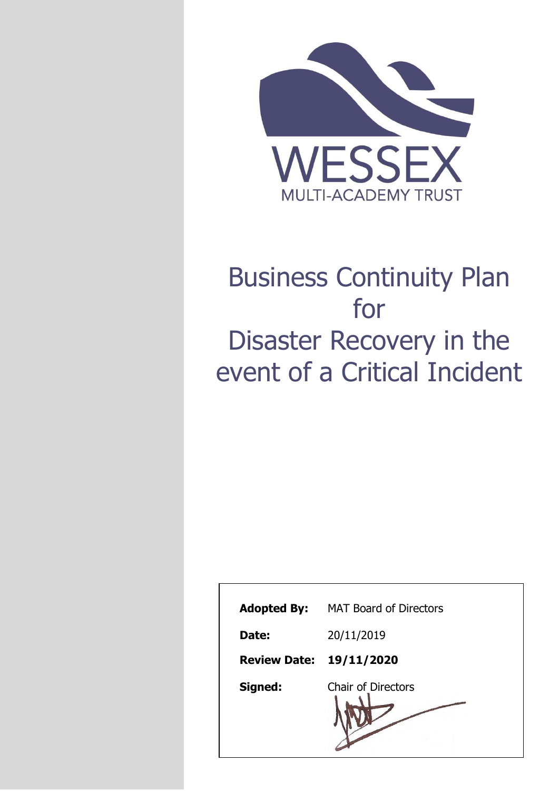

# Business Continuity Plan for Disaster Recovery in the event of a Critical Incident

| <b>Adopted By:</b>             | <b>MAT Board of Directors</b> |
|--------------------------------|-------------------------------|
| Date:                          | 20/11/2019                    |
| <b>Review Date: 19/11/2020</b> |                               |
| Signed:                        | <b>Chair of Directors</b>     |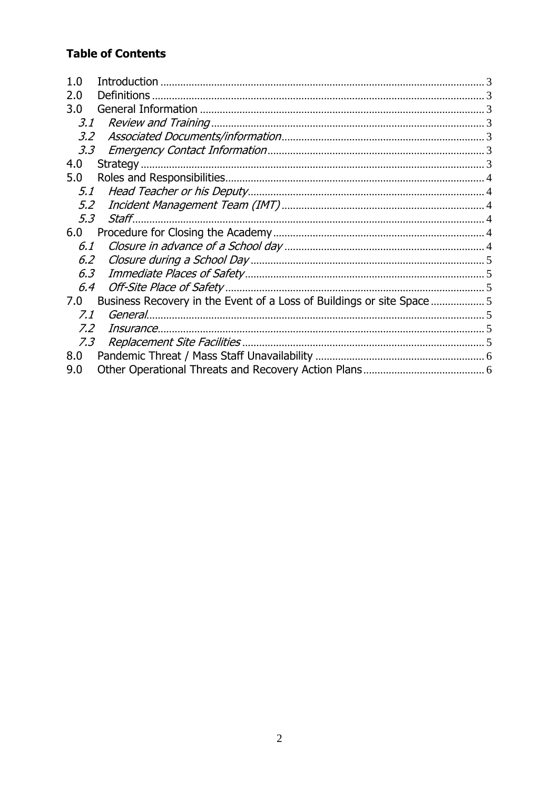# **Table of Contents**

<span id="page-1-0"></span>

| 1.0                                                                        |  |
|----------------------------------------------------------------------------|--|
| <b>Definitions</b><br>2.0                                                  |  |
| 3.0                                                                        |  |
| 3.1                                                                        |  |
| 3.2                                                                        |  |
| 3.3                                                                        |  |
| 4.0                                                                        |  |
| 5.0                                                                        |  |
| 5.1                                                                        |  |
| 5.2                                                                        |  |
| Staff<br>5.3                                                               |  |
| 6.0                                                                        |  |
| 6.1                                                                        |  |
| 6.2                                                                        |  |
| 6.3                                                                        |  |
| 6.4                                                                        |  |
| Business Recovery in the Event of a Loss of Buildings or site Space<br>7.0 |  |
| 7.1                                                                        |  |
| 7.2<br>Insurance.                                                          |  |
| 7.3<br>Replacement Site Facilities                                         |  |
| 8.0                                                                        |  |
| 9.0                                                                        |  |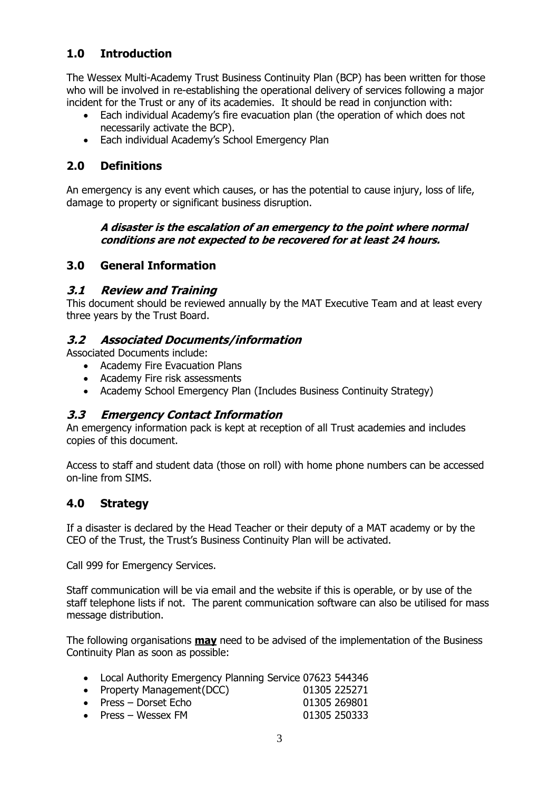## **1.0 Introduction**

The Wessex Multi-Academy Trust Business Continuity Plan (BCP) has been written for those who will be involved in re-establishing the operational delivery of services following a major incident for the Trust or any of its academies. It should be read in conjunction with:

- Each individual Academy's fire evacuation plan (the operation of which does not necessarily activate the BCP).
- Each individual Academy's School Emergency Plan

## <span id="page-2-0"></span>**2.0 Definitions**

An emergency is any event which causes, or has the potential to cause injury, loss of life, damage to property or significant business disruption.

#### **A disaster is the escalation of an emergency to the point where normal conditions are not expected to be recovered for at least 24 hours.**

#### <span id="page-2-1"></span>**3.0 General Information**

#### <span id="page-2-2"></span>**3.1 Review and Training**

This document should be reviewed annually by the MAT Executive Team and at least every three years by the Trust Board.

#### <span id="page-2-3"></span>**3.2 Associated Documents/information**

Associated Documents include:

- Academy Fire Evacuation Plans
- Academy Fire risk assessments
- Academy School Emergency Plan (Includes Business Continuity Strategy)

#### <span id="page-2-4"></span>**3.3 Emergency Contact Information**

An emergency information pack is kept at reception of all Trust academies and includes copies of this document.

Access to staff and student data (those on roll) with home phone numbers can be accessed on-line from SIMS.

#### <span id="page-2-5"></span>**4.0 Strategy**

If a disaster is declared by the Head Teacher or their deputy of a MAT academy or by the CEO of the Trust, the Trust's Business Continuity Plan will be activated.

Call 999 for Emergency Services.

Staff communication will be via email and the website if this is operable, or by use of the staff telephone lists if not. The parent communication software can also be utilised for mass message distribution.

The following organisations **may** need to be advised of the implementation of the Business Continuity Plan as soon as possible:

- Local Authority Emergency Planning Service 07623 544346
- Property Management(DCC) 01305 225271 • Press – Dorset Echo 01305 269801
- Press Wessex FM  $01305 250333$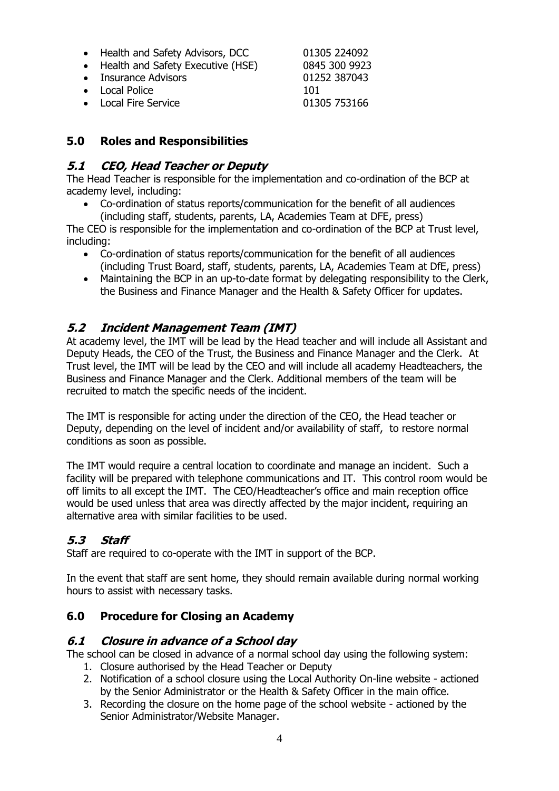- Health and Safety Advisors, DCC 01305 224092
- Health and Safety Executive (HSE) 0845 300 9923
- Insurance Advisors 01252 387043
- Local Police 101

• Local Fire Service 01305 753166

# <span id="page-3-0"></span>**5.0 Roles and Responsibilities**

## <span id="page-3-1"></span>**5.1 CEO, Head Teacher or Deputy**

The Head Teacher is responsible for the implementation and co-ordination of the BCP at academy level, including:

 Co-ordination of status reports/communication for the benefit of all audiences (including staff, students, parents, LA, Academies Team at DFE, press)

The CEO is responsible for the implementation and co-ordination of the BCP at Trust level, including:

- Co-ordination of status reports/communication for the benefit of all audiences (including Trust Board, staff, students, parents, LA, Academies Team at DfE, press)
- Maintaining the BCP in an up-to-date format by delegating responsibility to the Clerk, the Business and Finance Manager and the Health & Safety Officer for updates.

## <span id="page-3-2"></span>**5.2 Incident Management Team (IMT)**

At academy level, the IMT will be lead by the Head teacher and will include all Assistant and Deputy Heads, the CEO of the Trust, the Business and Finance Manager and the Clerk. At Trust level, the IMT will be lead by the CEO and will include all academy Headteachers, the Business and Finance Manager and the Clerk. Additional members of the team will be recruited to match the specific needs of the incident.

The IMT is responsible for acting under the direction of the CEO, the Head teacher or Deputy, depending on the level of incident and/or availability of staff, to restore normal conditions as soon as possible.

The IMT would require a central location to coordinate and manage an incident. Such a facility will be prepared with telephone communications and IT. This control room would be off limits to all except the IMT. The CEO/Headteacher's office and main reception office would be used unless that area was directly affected by the major incident, requiring an alternative area with similar facilities to be used.

## <span id="page-3-3"></span>**5.3 Staff**

Staff are required to co-operate with the IMT in support of the BCP.

In the event that staff are sent home, they should remain available during normal working hours to assist with necessary tasks.

#### <span id="page-3-4"></span>**6.0 Procedure for Closing an Academy**

#### <span id="page-3-5"></span>**6.1 Closure in advance of a School day**

The school can be closed in advance of a normal school day using the following system:

- 1. Closure authorised by the Head Teacher or Deputy
- 2. Notification of a school closure using the Local Authority On-line website actioned by the Senior Administrator or the Health & Safety Officer in the main office.
- 3. Recording the closure on the home page of the school website actioned by the Senior Administrator/Website Manager.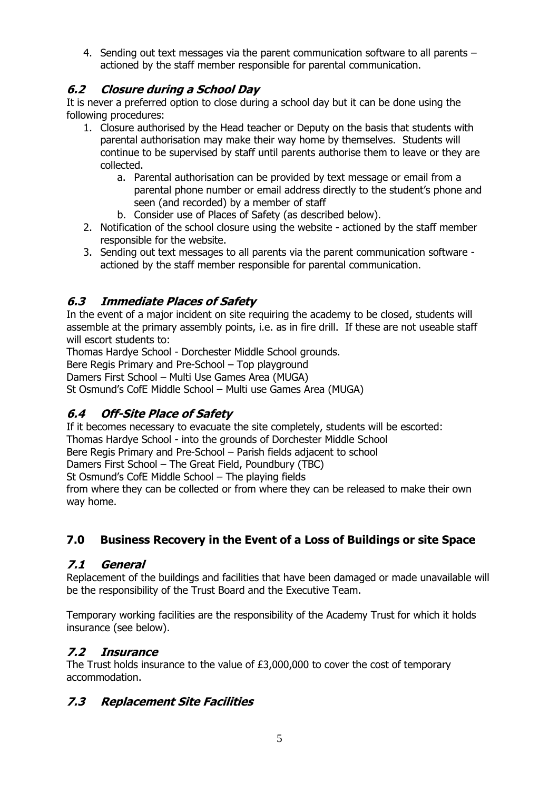4. Sending out text messages via the parent communication software to all parents – actioned by the staff member responsible for parental communication.

## <span id="page-4-0"></span>**6.2 Closure during a School Day**

It is never a preferred option to close during a school day but it can be done using the following procedures:

- 1. Closure authorised by the Head teacher or Deputy on the basis that students with parental authorisation may make their way home by themselves. Students will continue to be supervised by staff until parents authorise them to leave or they are collected.
	- a. Parental authorisation can be provided by text message or email from a parental phone number or email address directly to the student's phone and seen (and recorded) by a member of staff
	- b. Consider use of Places of Safety (as described below).
- 2. Notification of the school closure using the website actioned by the staff member responsible for the website.
- 3. Sending out text messages to all parents via the parent communication software actioned by the staff member responsible for parental communication.

## <span id="page-4-1"></span>**6.3 Immediate Places of Safety**

In the event of a major incident on site requiring the academy to be closed, students will assemble at the primary assembly points, i.e. as in fire drill. If these are not useable staff will escort students to:

Thomas Hardye School - Dorchester Middle School grounds.

Bere Regis Primary and Pre-School – Top playground

Damers First School – Multi Use Games Area (MUGA)

St Osmund's CofE Middle School – Multi use Games Area (MUGA)

## <span id="page-4-2"></span>**6.4 Off-Site Place of Safety**

If it becomes necessary to evacuate the site completely, students will be escorted:

Thomas Hardye School - into the grounds of Dorchester Middle School

Bere Regis Primary and Pre-School – Parish fields adjacent to school

Damers First School – The Great Field, Poundbury (TBC)

St Osmund's CofE Middle School – The playing fields

from where they can be collected or from where they can be released to make their own way home.

# <span id="page-4-3"></span>**7.0 Business Recovery in the Event of a Loss of Buildings or site Space**

## <span id="page-4-4"></span>**7.1 General**

Replacement of the buildings and facilities that have been damaged or made unavailable will be the responsibility of the Trust Board and the Executive Team.

Temporary working facilities are the responsibility of the Academy Trust for which it holds insurance (see below).

## <span id="page-4-5"></span>**7.2 Insurance**

The Trust holds insurance to the value of £3,000,000 to cover the cost of temporary accommodation.

## <span id="page-4-6"></span>**7.3 Replacement Site Facilities**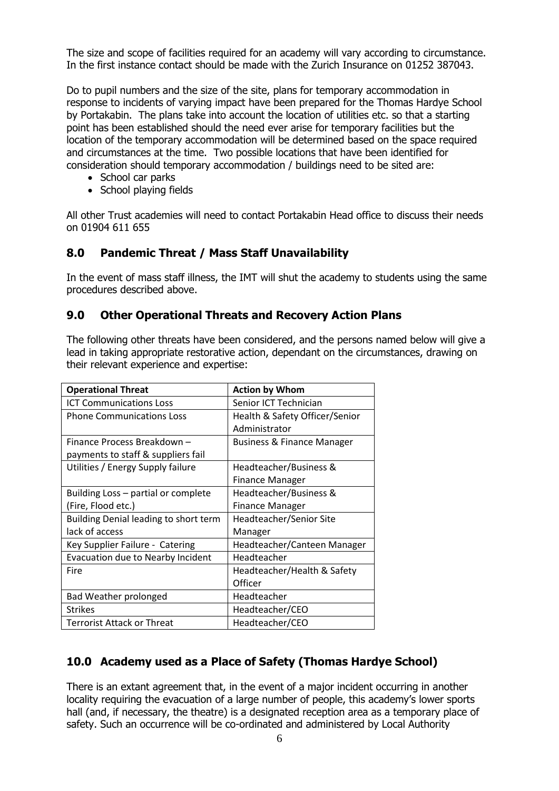The size and scope of facilities required for an academy will vary according to circumstance. In the first instance contact should be made with the Zurich Insurance on 01252 387043.

Do to pupil numbers and the size of the site, plans for temporary accommodation in response to incidents of varying impact have been prepared for the Thomas Hardye School by Portakabin. The plans take into account the location of utilities etc. so that a starting point has been established should the need ever arise for temporary facilities but the location of the temporary accommodation will be determined based on the space required and circumstances at the time. Two possible locations that have been identified for consideration should temporary accommodation / buildings need to be sited are:

- School car parks
- School playing fields

All other Trust academies will need to contact Portakabin Head office to discuss their needs on 01904 611 655

### <span id="page-5-0"></span>**8.0 Pandemic Threat / Mass Staff Unavailability**

In the event of mass staff illness, the IMT will shut the academy to students using the same procedures described above.

#### <span id="page-5-1"></span>**9.0 Other Operational Threats and Recovery Action Plans**

The following other threats have been considered, and the persons named below will give a lead in taking appropriate restorative action, dependant on the circumstances, drawing on their relevant experience and expertise:

| <b>Operational Threat</b>             | <b>Action by Whom</b>                 |
|---------------------------------------|---------------------------------------|
| <b>ICT Communications Loss</b>        | Senior ICT Technician                 |
| <b>Phone Communications Loss</b>      | Health & Safety Officer/Senior        |
|                                       | Administrator                         |
| Finance Process Breakdown –           | <b>Business &amp; Finance Manager</b> |
| payments to staff & suppliers fail    |                                       |
| Utilities / Energy Supply failure     | Headteacher/Business &                |
|                                       | Finance Manager                       |
| Building Loss – partial or complete   | Headteacher/Business &                |
| (Fire, Flood etc.)                    | <b>Finance Manager</b>                |
| Building Denial leading to short term | Headteacher/Senior Site               |
| lack of access                        | Manager                               |
| Key Supplier Failure - Catering       | Headteacher/Canteen Manager           |
| Evacuation due to Nearby Incident     | Headteacher                           |
| Fire                                  | Headteacher/Health & Safety           |
|                                       | Officer                               |
| <b>Bad Weather prolonged</b>          | Headteacher                           |
| <b>Strikes</b>                        | Headteacher/CEO                       |
| Terrorist Attack or Threat            | Headteacher/CEO                       |

# **10.0 Academy used as a Place of Safety (Thomas Hardye School)**

There is an extant agreement that, in the event of a major incident occurring in another locality requiring the evacuation of a large number of people, this academy's lower sports hall (and, if necessary, the theatre) is a designated reception area as a temporary place of safety. Such an occurrence will be co-ordinated and administered by Local Authority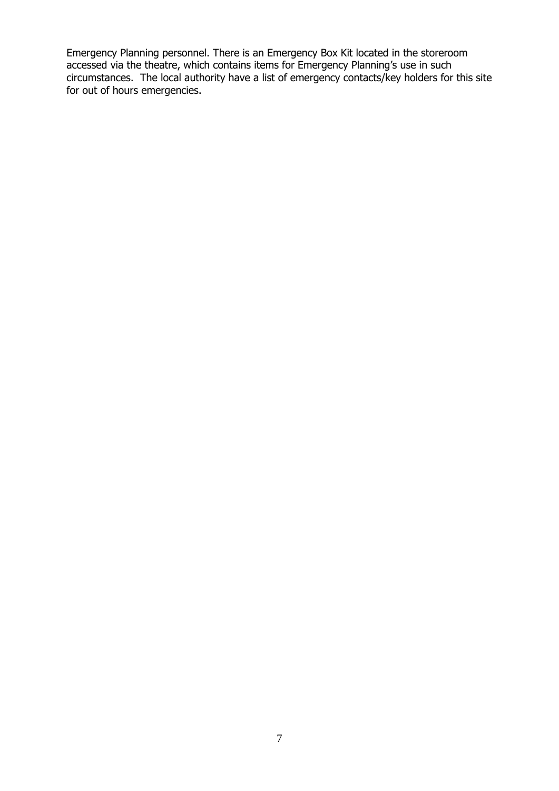Emergency Planning personnel. There is an Emergency Box Kit located in the storeroom accessed via the theatre, which contains items for Emergency Planning's use in such circumstances. The local authority have a list of emergency contacts/key holders for this site for out of hours emergencies.